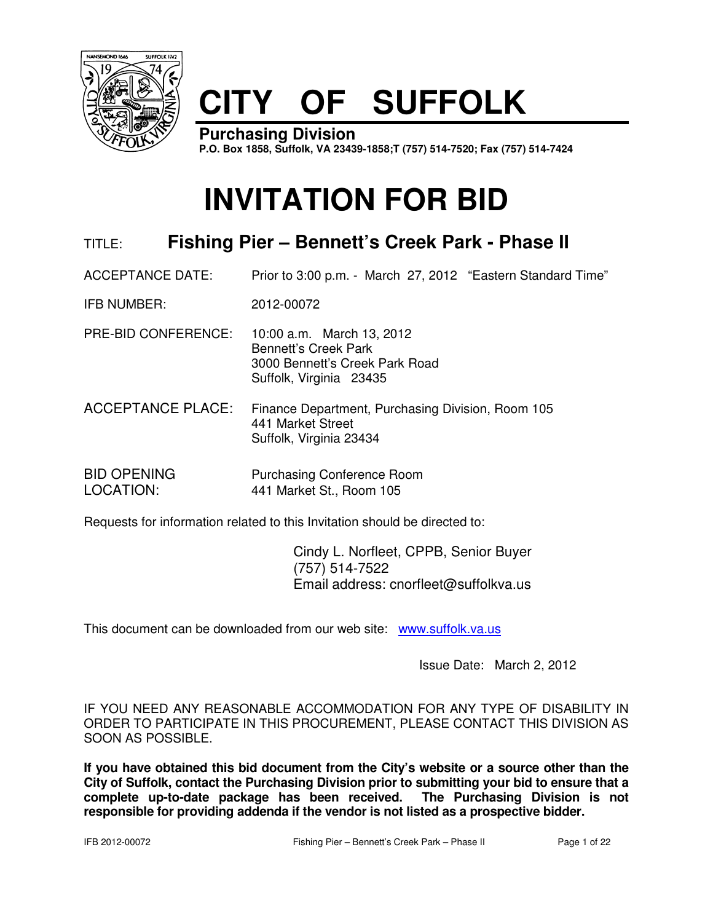

# **CITY OF SUFFOLK**

**Purchasing Division P.O. Box 1858, Suffolk, VA 23439-1858;T (757) 514-7520; Fax (757) 514-7424**

# **INVITATION FOR BID**

# TITLE: **Fishing Pier – Bennett's Creek Park - Phase II**

ACCEPTANCE DATE: Prior to 3:00 p.m. - March 27, 2012 "Eastern Standard Time"

IFB NUMBER: 2012-00072

- PRE-BID CONFERENCE: 10:00 a.m. March 13, 2012 Bennett's Creek Park 3000 Bennett's Creek Park Road Suffolk, Virginia 23435
- ACCEPTANCE PLACE: Finance Department, Purchasing Division, Room 105 441 Market Street Suffolk, Virginia 23434
- BID OPENING Purchasing Conference Room LOCATION: 441 Market St., Room 105

Requests for information related to this Invitation should be directed to:

 Cindy L. Norfleet, CPPB, Senior Buyer (757) 514-7522 Email address: cnorfleet@suffolkva.us

This document can be downloaded from our web site: www.suffolk.va.us

Issue Date: March 2, 2012

IF YOU NEED ANY REASONABLE ACCOMMODATION FOR ANY TYPE OF DISABILITY IN ORDER TO PARTICIPATE IN THIS PROCUREMENT, PLEASE CONTACT THIS DIVISION AS SOON AS POSSIBLE.

**If you have obtained this bid document from the City's website or a source other than the City of Suffolk, contact the Purchasing Division prior to submitting your bid to ensure that a complete up-to-date package has been received. The Purchasing Division is not responsible for providing addenda if the vendor is not listed as a prospective bidder.**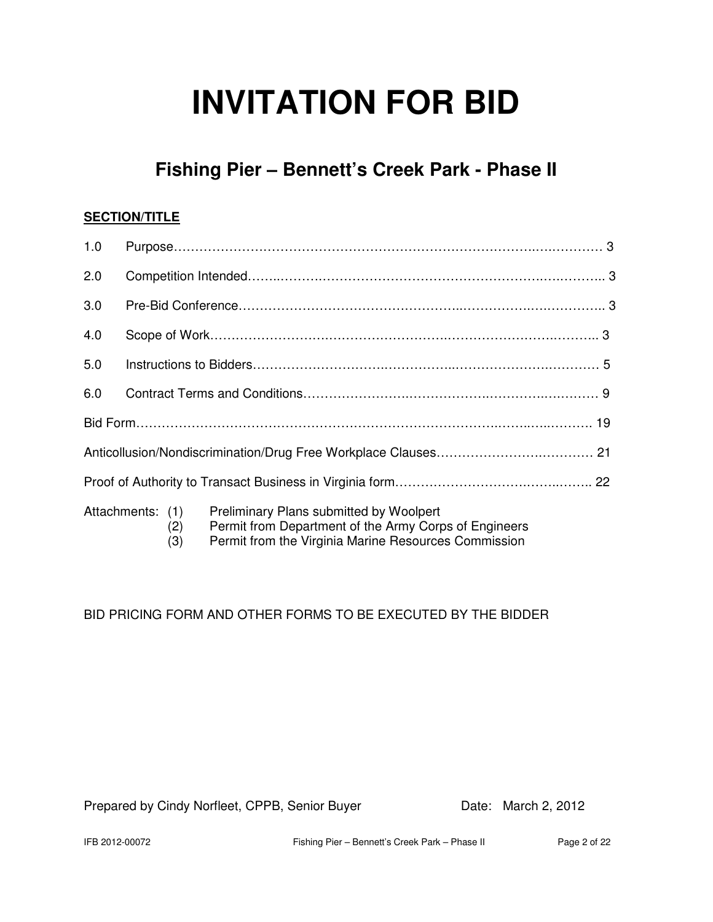# **INVITATION FOR BID**

# **Fishing Pier – Bennett's Creek Park - Phase II**

# **SECTION/TITLE**

| 1.0 |                                |  |                                                                                                                                                          |  |
|-----|--------------------------------|--|----------------------------------------------------------------------------------------------------------------------------------------------------------|--|
| 2.0 |                                |  |                                                                                                                                                          |  |
| 3.0 |                                |  |                                                                                                                                                          |  |
| 4.0 |                                |  |                                                                                                                                                          |  |
| 5.0 |                                |  |                                                                                                                                                          |  |
| 6.0 |                                |  |                                                                                                                                                          |  |
|     |                                |  |                                                                                                                                                          |  |
|     |                                |  |                                                                                                                                                          |  |
|     |                                |  |                                                                                                                                                          |  |
|     | Attachments: (1)<br>(2)<br>(3) |  | Preliminary Plans submitted by Woolpert<br>Permit from Department of the Army Corps of Engineers<br>Permit from the Virginia Marine Resources Commission |  |

# BID PRICING FORM AND OTHER FORMS TO BE EXECUTED BY THE BIDDER

Prepared by Cindy Norfleet, CPPB, Senior Buyer Date: March 2, 2012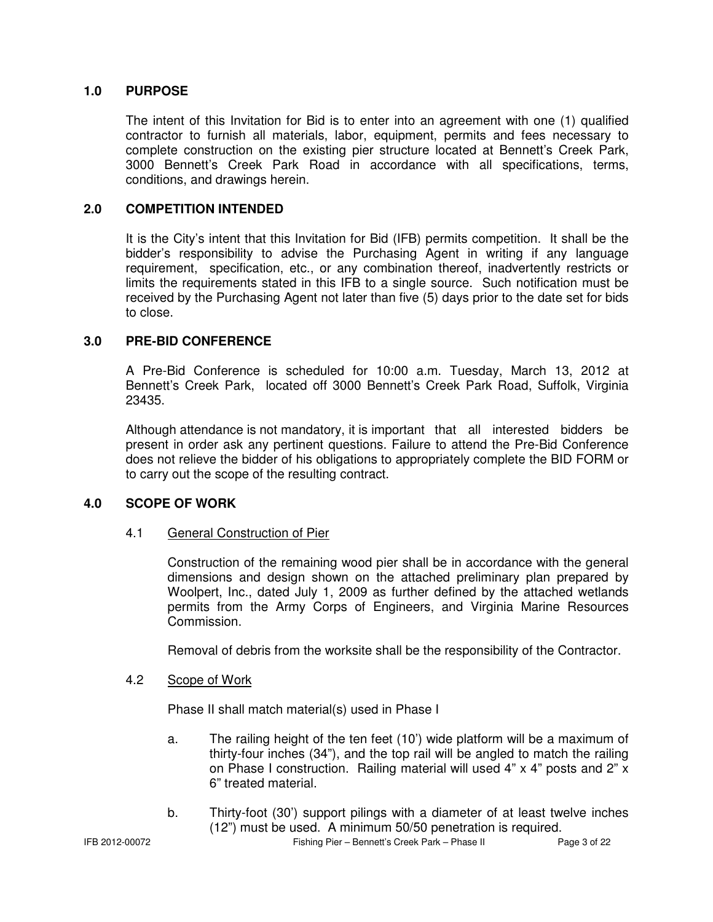#### **1.0 PURPOSE**

 The intent of this Invitation for Bid is to enter into an agreement with one (1) qualified contractor to furnish all materials, labor, equipment, permits and fees necessary to complete construction on the existing pier structure located at Bennett's Creek Park, 3000 Bennett's Creek Park Road in accordance with all specifications, terms, conditions, and drawings herein.

#### **2.0 COMPETITION INTENDED**

 It is the City's intent that this Invitation for Bid (IFB) permits competition. It shall be the bidder's responsibility to advise the Purchasing Agent in writing if any language requirement, specification, etc., or any combination thereof, inadvertently restricts or limits the requirements stated in this IFB to a single source. Such notification must be received by the Purchasing Agent not later than five (5) days prior to the date set for bids to close.

#### **3.0 PRE-BID CONFERENCE**

 A Pre-Bid Conference is scheduled for 10:00 a.m. Tuesday, March 13, 2012 at Bennett's Creek Park, located off 3000 Bennett's Creek Park Road, Suffolk, Virginia 23435.

 Although attendance is not mandatory, it is important that all interested bidders be present in order ask any pertinent questions. Failure to attend the Pre-Bid Conference does not relieve the bidder of his obligations to appropriately complete the BID FORM or to carry out the scope of the resulting contract.

#### **4.0 SCOPE OF WORK**

#### 4.1 General Construction of Pier

 Construction of the remaining wood pier shall be in accordance with the general dimensions and design shown on the attached preliminary plan prepared by Woolpert, Inc., dated July 1, 2009 as further defined by the attached wetlands permits from the Army Corps of Engineers, and Virginia Marine Resources Commission.

Removal of debris from the worksite shall be the responsibility of the Contractor.

#### 4.2 Scope of Work

Phase II shall match material(s) used in Phase I

- a. The railing height of the ten feet (10') wide platform will be a maximum of thirty-four inches (34"), and the top rail will be angled to match the railing on Phase I construction. Railing material will used 4" x 4" posts and 2" x 6" treated material.
- b. Thirty-foot (30') support pilings with a diameter of at least twelve inches (12") must be used. A minimum 50/50 penetration is required.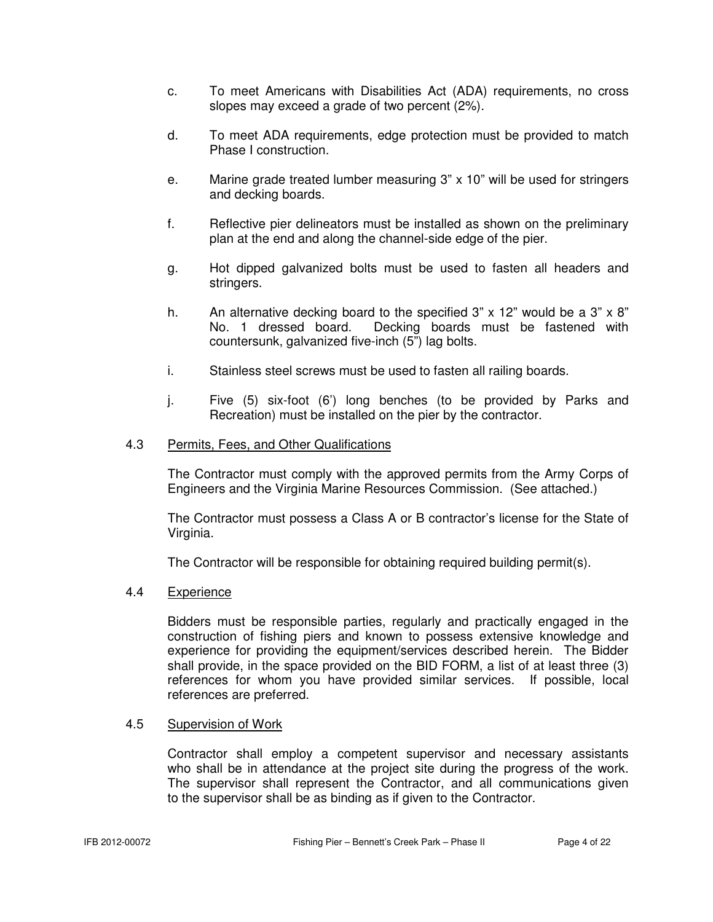- c. To meet Americans with Disabilities Act (ADA) requirements, no cross slopes may exceed a grade of two percent (2%).
- d. To meet ADA requirements, edge protection must be provided to match Phase I construction.
- e. Marine grade treated lumber measuring 3" x 10" will be used for stringers and decking boards.
- f. Reflective pier delineators must be installed as shown on the preliminary plan at the end and along the channel-side edge of the pier.
- g. Hot dipped galvanized bolts must be used to fasten all headers and stringers.
- h. An alternative decking board to the specified  $3" \times 12"$  would be a  $3" \times 8"$  No. 1 dressed board. Decking boards must be fastened with countersunk, galvanized five-inch (5") lag bolts.
- i. Stainless steel screws must be used to fasten all railing boards.
- j. Five (5) six-foot (6') long benches (to be provided by Parks and Recreation) must be installed on the pier by the contractor.

#### 4.3 Permits, Fees, and Other Qualifications

 The Contractor must comply with the approved permits from the Army Corps of Engineers and the Virginia Marine Resources Commission. (See attached.)

 The Contractor must possess a Class A or B contractor's license for the State of Virginia.

The Contractor will be responsible for obtaining required building permit(s).

#### 4.4 Experience

 Bidders must be responsible parties, regularly and practically engaged in the construction of fishing piers and known to possess extensive knowledge and experience for providing the equipment/services described herein. The Bidder shall provide, in the space provided on the BID FORM, a list of at least three (3) references for whom you have provided similar services. If possible, local references are preferred.

#### 4.5 Supervision of Work

 Contractor shall employ a competent supervisor and necessary assistants who shall be in attendance at the project site during the progress of the work. The supervisor shall represent the Contractor, and all communications given to the supervisor shall be as binding as if given to the Contractor.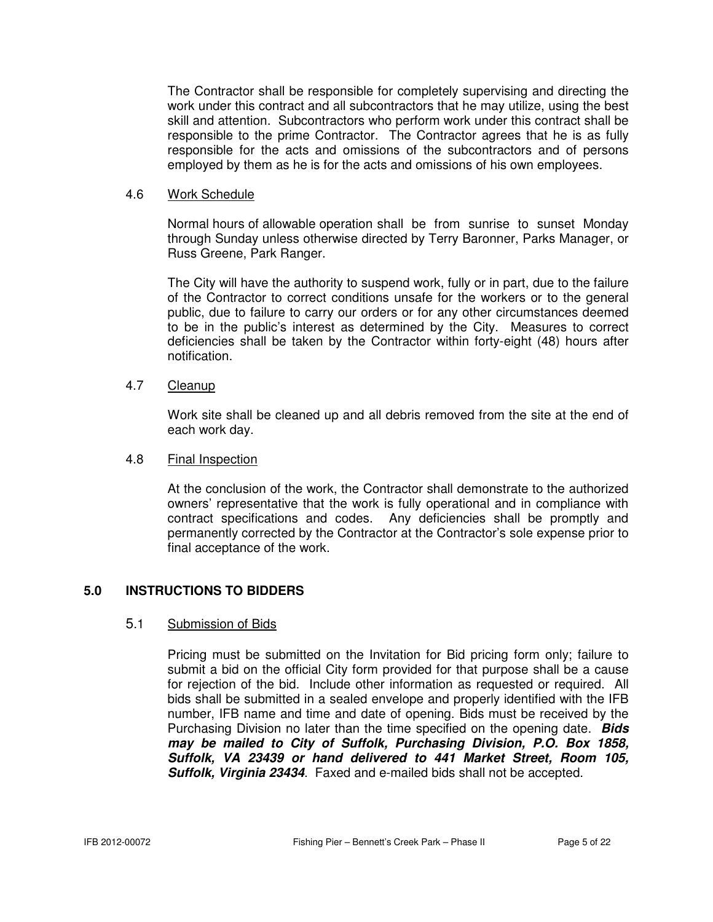The Contractor shall be responsible for completely supervising and directing the work under this contract and all subcontractors that he may utilize, using the best skill and attention. Subcontractors who perform work under this contract shall be responsible to the prime Contractor. The Contractor agrees that he is as fully responsible for the acts and omissions of the subcontractors and of persons employed by them as he is for the acts and omissions of his own employees.

#### 4.6 Work Schedule

 Normal hours of allowable operation shall be from sunrise to sunset Monday through Sunday unless otherwise directed by Terry Baronner, Parks Manager, or Russ Greene, Park Ranger.

 The City will have the authority to suspend work, fully or in part, due to the failure of the Contractor to correct conditions unsafe for the workers or to the general public, due to failure to carry our orders or for any other circumstances deemed to be in the public's interest as determined by the City. Measures to correct deficiencies shall be taken by the Contractor within forty-eight (48) hours after notification.

#### 4.7 Cleanup

Work site shall be cleaned up and all debris removed from the site at the end of each work day.

#### 4.8 Final Inspection

 At the conclusion of the work, the Contractor shall demonstrate to the authorized owners' representative that the work is fully operational and in compliance with contract specifications and codes. Any deficiencies shall be promptly and permanently corrected by the Contractor at the Contractor's sole expense prior to final acceptance of the work.

### **5.0 INSTRUCTIONS TO BIDDERS**

#### 5.1 Submission of Bids

Pricing must be submitted on the Invitation for Bid pricing form only; failure to submit a bid on the official City form provided for that purpose shall be a cause for rejection of the bid. Include other information as requested or required. All bids shall be submitted in a sealed envelope and properly identified with the IFB number, IFB name and time and date of opening. Bids must be received by the Purchasing Division no later than the time specified on the opening date. **Bids may be mailed to City of Suffolk, Purchasing Division, P.O. Box 1858, Suffolk, VA 23439 or hand delivered to 441 Market Street, Room 105, Suffolk, Virginia 23434**. Faxed and e-mailed bids shall not be accepted.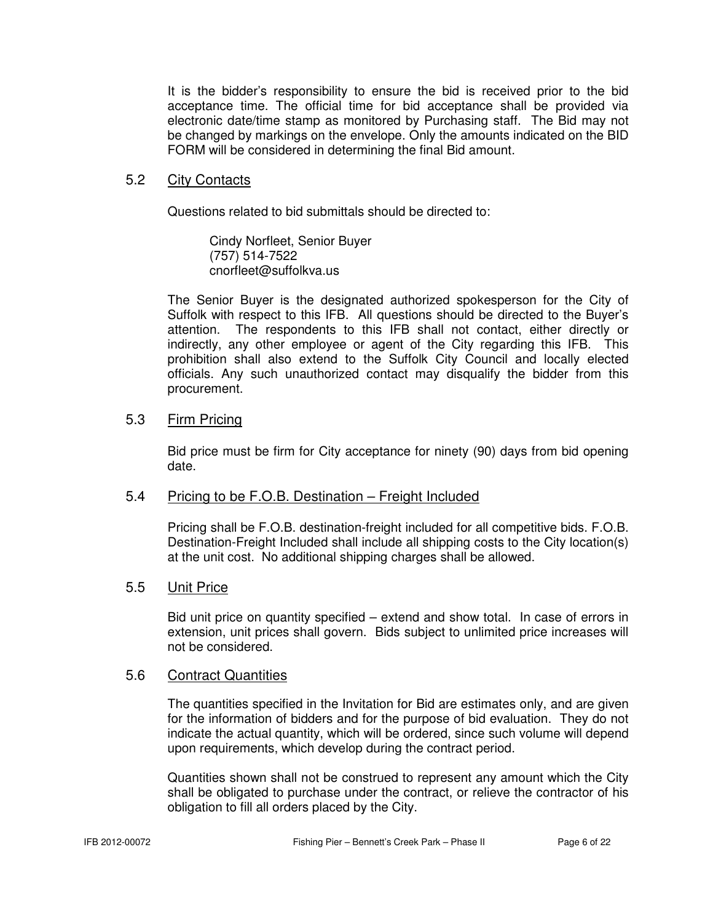It is the bidder's responsibility to ensure the bid is received prior to the bid acceptance time. The official time for bid acceptance shall be provided via electronic date/time stamp as monitored by Purchasing staff. The Bid may not be changed by markings on the envelope. Only the amounts indicated on the BID FORM will be considered in determining the final Bid amount.

# 5.2 City Contacts

Questions related to bid submittals should be directed to:

 Cindy Norfleet, Senior Buyer (757) 514-7522 cnorfleet@suffolkva.us

The Senior Buyer is the designated authorized spokesperson for the City of Suffolk with respect to this IFB. All questions should be directed to the Buyer's attention. The respondents to this IFB shall not contact, either directly or indirectly, any other employee or agent of the City regarding this IFB. This prohibition shall also extend to the Suffolk City Council and locally elected officials. Any such unauthorized contact may disqualify the bidder from this procurement.

### 5.3 Firm Pricing

Bid price must be firm for City acceptance for ninety (90) days from bid opening date.

### 5.4 Pricing to be F.O.B. Destination – Freight Included

Pricing shall be F.O.B. destination-freight included for all competitive bids. F.O.B. Destination-Freight Included shall include all shipping costs to the City location(s) at the unit cost. No additional shipping charges shall be allowed.

### 5.5 Unit Price

Bid unit price on quantity specified – extend and show total. In case of errors in extension, unit prices shall govern. Bids subject to unlimited price increases will not be considered.

### 5.6 Contract Quantities

The quantities specified in the Invitation for Bid are estimates only, and are given for the information of bidders and for the purpose of bid evaluation. They do not indicate the actual quantity, which will be ordered, since such volume will depend upon requirements, which develop during the contract period.

Quantities shown shall not be construed to represent any amount which the City shall be obligated to purchase under the contract, or relieve the contractor of his obligation to fill all orders placed by the City.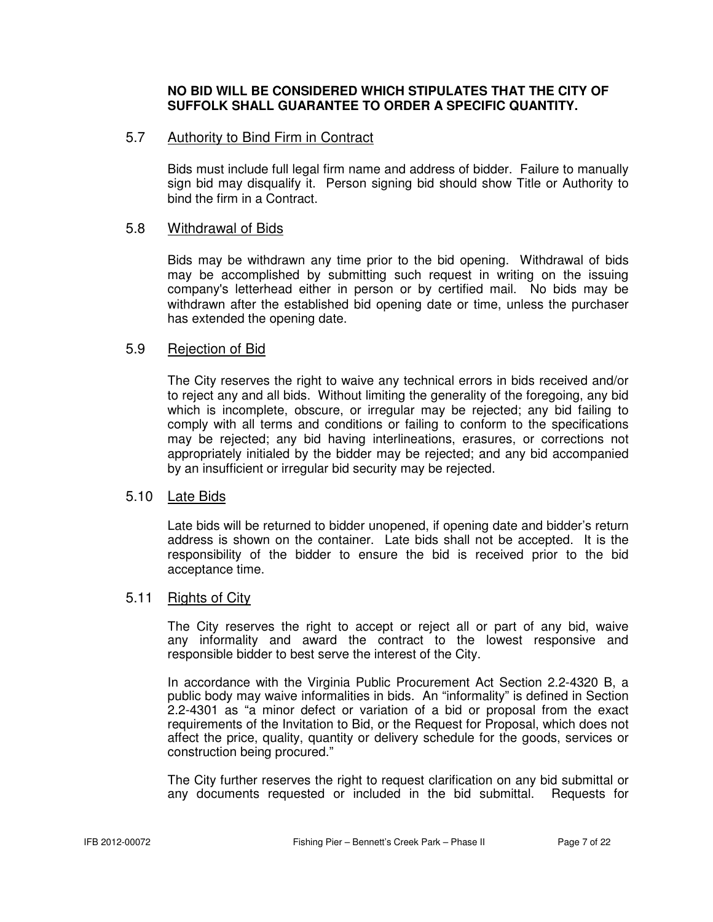### **NO BID WILL BE CONSIDERED WHICH STIPULATES THAT THE CITY OF SUFFOLK SHALL GUARANTEE TO ORDER A SPECIFIC QUANTITY.**

# 5.7 Authority to Bind Firm in Contract

Bids must include full legal firm name and address of bidder. Failure to manually sign bid may disqualify it. Person signing bid should show Title or Authority to bind the firm in a Contract.

#### 5.8 Withdrawal of Bids

Bids may be withdrawn any time prior to the bid opening. Withdrawal of bids may be accomplished by submitting such request in writing on the issuing company's letterhead either in person or by certified mail. No bids may be withdrawn after the established bid opening date or time, unless the purchaser has extended the opening date.

### 5.9 Rejection of Bid

The City reserves the right to waive any technical errors in bids received and/or to reject any and all bids. Without limiting the generality of the foregoing, any bid which is incomplete, obscure, or irregular may be rejected; any bid failing to comply with all terms and conditions or failing to conform to the specifications may be rejected; any bid having interlineations, erasures, or corrections not appropriately initialed by the bidder may be rejected; and any bid accompanied by an insufficient or irregular bid security may be rejected.

### 5.10 Late Bids

Late bids will be returned to bidder unopened, if opening date and bidder's return address is shown on the container. Late bids shall not be accepted. It is the responsibility of the bidder to ensure the bid is received prior to the bid acceptance time.

### 5.11 Rights of City

 The City reserves the right to accept or reject all or part of any bid, waive any informality and award the contract to the lowest responsive and responsible bidder to best serve the interest of the City.

 In accordance with the Virginia Public Procurement Act Section 2.2-4320 B, a public body may waive informalities in bids. An "informality" is defined in Section 2.2-4301 as "a minor defect or variation of a bid or proposal from the exact requirements of the Invitation to Bid, or the Request for Proposal, which does not affect the price, quality, quantity or delivery schedule for the goods, services or construction being procured."

 The City further reserves the right to request clarification on any bid submittal or any documents requested or included in the bid submittal. Requests for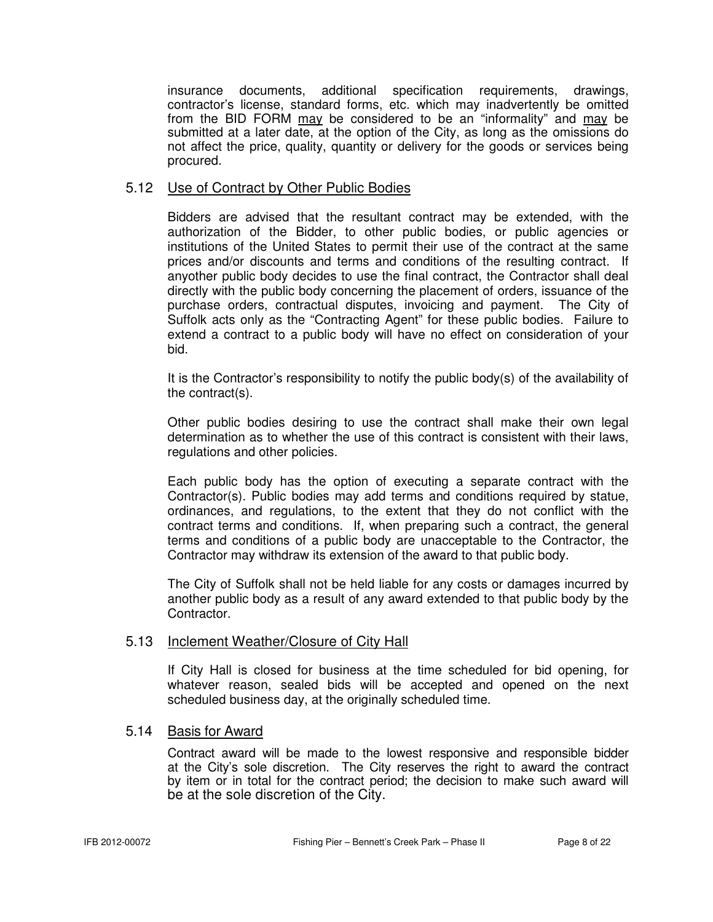insurance documents, additional specification requirements, drawings, contractor's license, standard forms, etc. which may inadvertently be omitted from the BID FORM may be considered to be an "informality" and may be submitted at a later date, at the option of the City, as long as the omissions do not affect the price, quality, quantity or delivery for the goods or services being procured.

# 5.12 Use of Contract by Other Public Bodies

Bidders are advised that the resultant contract may be extended, with the authorization of the Bidder, to other public bodies, or public agencies or institutions of the United States to permit their use of the contract at the same prices and/or discounts and terms and conditions of the resulting contract. If anyother public body decides to use the final contract, the Contractor shall deal directly with the public body concerning the placement of orders, issuance of the purchase orders, contractual disputes, invoicing and payment. The City of Suffolk acts only as the "Contracting Agent" for these public bodies. Failure to extend a contract to a public body will have no effect on consideration of your bid.

It is the Contractor's responsibility to notify the public body(s) of the availability of the contract(s).

Other public bodies desiring to use the contract shall make their own legal determination as to whether the use of this contract is consistent with their laws, regulations and other policies.

Each public body has the option of executing a separate contract with the Contractor(s). Public bodies may add terms and conditions required by statue, ordinances, and regulations, to the extent that they do not conflict with the contract terms and conditions. If, when preparing such a contract, the general terms and conditions of a public body are unacceptable to the Contractor, the Contractor may withdraw its extension of the award to that public body.

The City of Suffolk shall not be held liable for any costs or damages incurred by another public body as a result of any award extended to that public body by the Contractor.

### 5.13 Inclement Weather/Closure of City Hall

If City Hall is closed for business at the time scheduled for bid opening, for whatever reason, sealed bids will be accepted and opened on the next scheduled business day, at the originally scheduled time.

### 5.14 Basis for Award

 Contract award will be made to the lowest responsive and responsible bidder at the City's sole discretion. The City reserves the right to award the contract by item or in total for the contract period; the decision to make such award will be at the sole discretion of the City.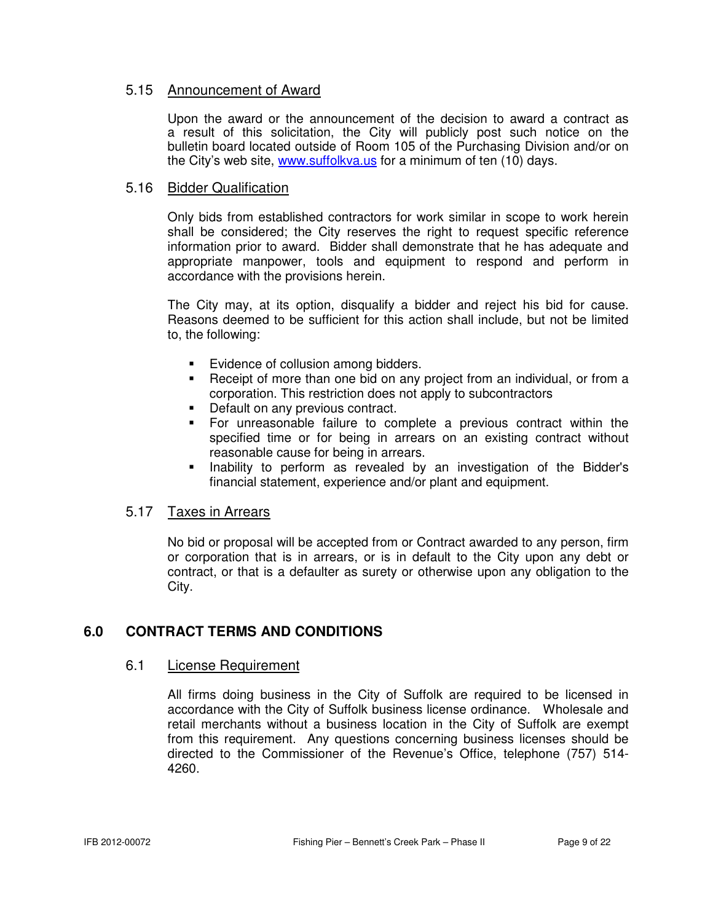# 5.15 Announcement of Award

 Upon the award or the announcement of the decision to award a contract as a result of this solicitation, the City will publicly post such notice on the bulletin board located outside of Room 105 of the Purchasing Division and/or on the City's web site, www.suffolkva.us for a minimum of ten (10) days.

# 5.16 Bidder Qualification

Only bids from established contractors for work similar in scope to work herein shall be considered; the City reserves the right to request specific reference information prior to award. Bidder shall demonstrate that he has adequate and appropriate manpower, tools and equipment to respond and perform in accordance with the provisions herein.

The City may, at its option, disqualify a bidder and reject his bid for cause. Reasons deemed to be sufficient for this action shall include, but not be limited to, the following:

- **Evidence of collusion among bidders.**
- Receipt of more than one bid on any project from an individual, or from a corporation. This restriction does not apply to subcontractors
- Default on any previous contract.
- For unreasonable failure to complete a previous contract within the specified time or for being in arrears on an existing contract without reasonable cause for being in arrears.
- Inability to perform as revealed by an investigation of the Bidder's financial statement, experience and/or plant and equipment.

### 5.17 Taxes in Arrears

No bid or proposal will be accepted from or Contract awarded to any person, firm or corporation that is in arrears, or is in default to the City upon any debt or contract, or that is a defaulter as surety or otherwise upon any obligation to the City.

# **6.0 CONTRACT TERMS AND CONDITIONS**

### 6.1 License Requirement

All firms doing business in the City of Suffolk are required to be licensed in accordance with the City of Suffolk business license ordinance. Wholesale and retail merchants without a business location in the City of Suffolk are exempt from this requirement. Any questions concerning business licenses should be directed to the Commissioner of the Revenue's Office, telephone (757) 514- 4260.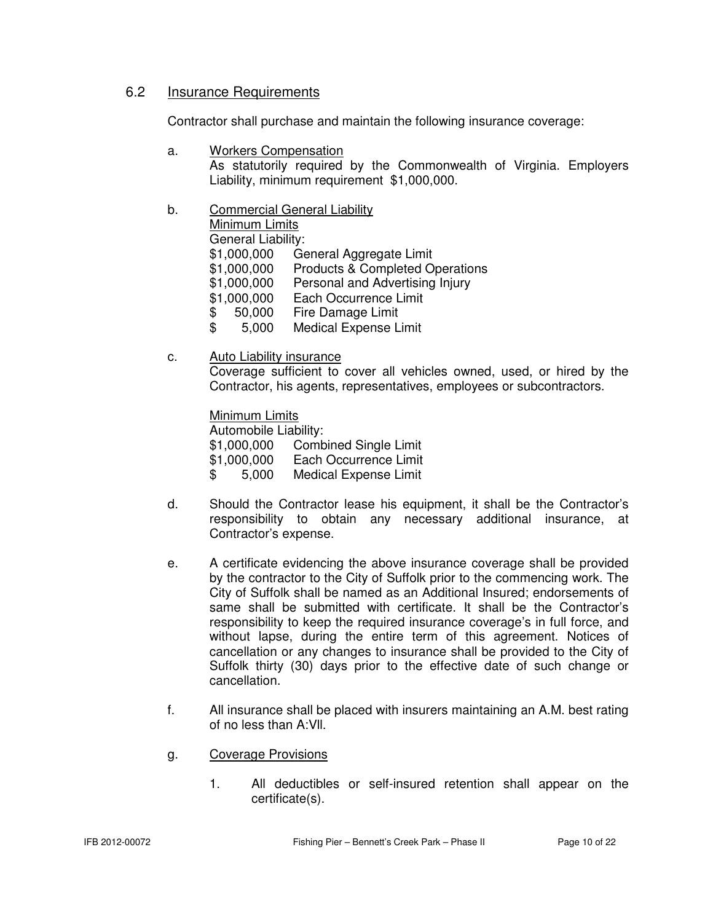# 6.2 Insurance Requirements

Contractor shall purchase and maintain the following insurance coverage:

a. Workers Compensation

As statutorily required by the Commonwealth of Virginia. Employers Liability, minimum requirement \$1,000,000.

b. Commercial General Liability

Minimum Limits

General Liability:

- \$1,000,000 General Aggregate Limit
- \$1,000,000 Products & Completed Operations
- \$1,000,000 Personal and Advertising Injury
- \$1,000,000 Each Occurrence Limit
- \$ 50,000 Fire Damage Limit<br>\$ 5.000 Medical Expense L
- \$ 5,000 Medical Expense Limit
- c. Auto Liability insurance

Coverage sufficient to cover all vehicles owned, used, or hired by the Contractor, his agents, representatives, employees or subcontractors.

Minimum Limits

Automobile Liability:

\$1,000,000 Combined Single Limit

- \$1,000,000 Each Occurrence Limit
- \$ 5,000 Medical Expense Limit
- d. Should the Contractor lease his equipment, it shall be the Contractor's responsibility to obtain any necessary additional insurance, at Contractor's expense.
- e. A certificate evidencing the above insurance coverage shall be provided by the contractor to the City of Suffolk prior to the commencing work. The City of Suffolk shall be named as an Additional Insured; endorsements of same shall be submitted with certificate. It shall be the Contractor's responsibility to keep the required insurance coverage's in full force, and without lapse, during the entire term of this agreement. Notices of cancellation or any changes to insurance shall be provided to the City of Suffolk thirty (30) days prior to the effective date of such change or cancellation.
- f. All insurance shall be placed with insurers maintaining an A.M. best rating of no less than A:Vll.
- g. Coverage Provisions
	- 1. All deductibles or self-insured retention shall appear on the certificate(s).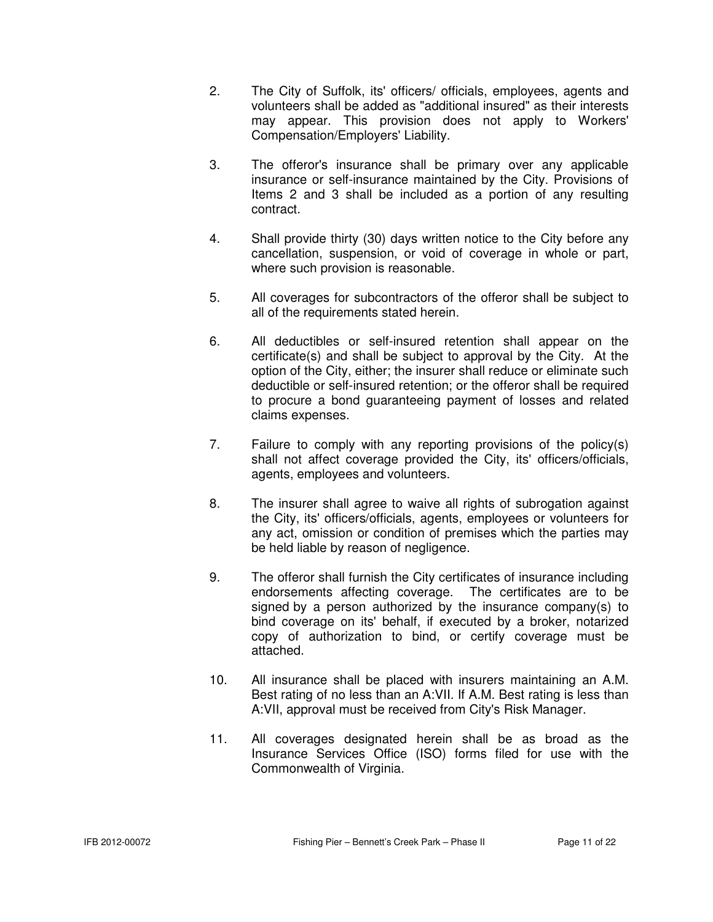- 2. The City of Suffolk, its' officers/ officials, employees, agents and volunteers shall be added as "additional insured" as their interests may appear. This provision does not apply to Workers' Compensation/Employers' Liability.
- 3. The offeror's insurance shall be primary over any applicable insurance or self-insurance maintained by the City. Provisions of Items 2 and 3 shall be included as a portion of any resulting contract.
- 4. Shall provide thirty (30) days written notice to the City before any cancellation, suspension, or void of coverage in whole or part, where such provision is reasonable.
- 5. All coverages for subcontractors of the offeror shall be subject to all of the requirements stated herein.
- 6. All deductibles or self-insured retention shall appear on the certificate(s) and shall be subject to approval by the City. At the option of the City, either; the insurer shall reduce or eliminate such deductible or self-insured retention; or the offeror shall be required to procure a bond guaranteeing payment of losses and related claims expenses.
- 7. Failure to comply with any reporting provisions of the policy(s) shall not affect coverage provided the City, its' officers/officials, agents, employees and volunteers.
- 8. The insurer shall agree to waive all rights of subrogation against the City, its' officers/officials, agents, employees or volunteers for any act, omission or condition of premises which the parties may be held liable by reason of negligence.
- 9. The offeror shall furnish the City certificates of insurance including endorsements affecting coverage. The certificates are to be signed by a person authorized by the insurance company(s) to bind coverage on its' behalf, if executed by a broker, notarized copy of authorization to bind, or certify coverage must be attached.
- 10. All insurance shall be placed with insurers maintaining an A.M. Best rating of no less than an A:VII. If A.M. Best rating is less than A:VII, approval must be received from City's Risk Manager.
- 11. All coverages designated herein shall be as broad as the Insurance Services Office (ISO) forms filed for use with the Commonwealth of Virginia.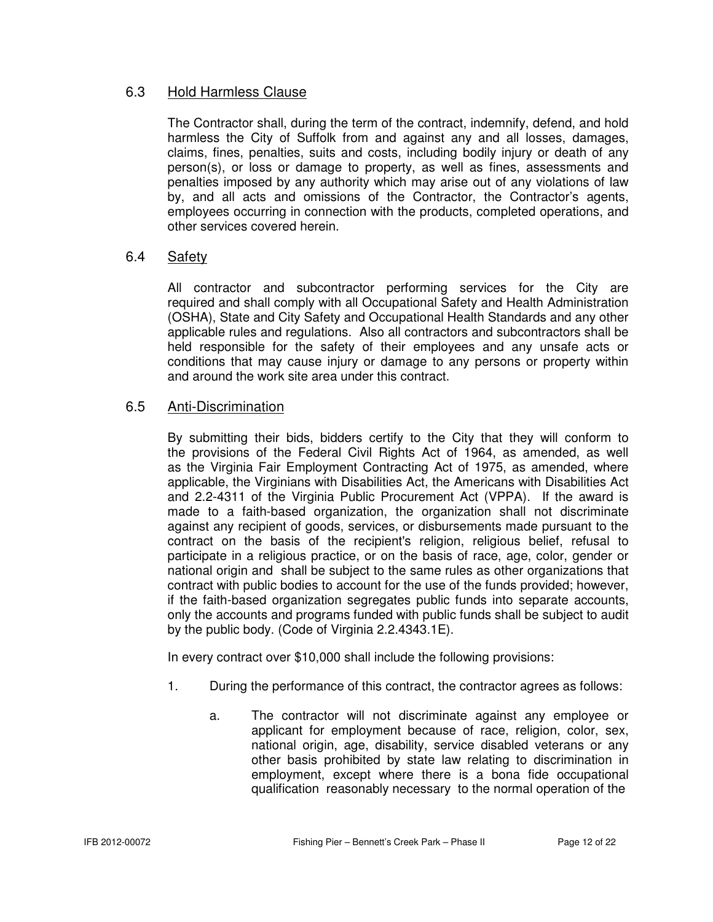# 6.3 Hold Harmless Clause

The Contractor shall, during the term of the contract, indemnify, defend, and hold harmless the City of Suffolk from and against any and all losses, damages, claims, fines, penalties, suits and costs, including bodily injury or death of any person(s), or loss or damage to property, as well as fines, assessments and penalties imposed by any authority which may arise out of any violations of law by, and all acts and omissions of the Contractor, the Contractor's agents, employees occurring in connection with the products, completed operations, and other services covered herein.

### 6.4 Safety

 All contractor and subcontractor performing services for the City are required and shall comply with all Occupational Safety and Health Administration (OSHA), State and City Safety and Occupational Health Standards and any other applicable rules and regulations. Also all contractors and subcontractors shall be held responsible for the safety of their employees and any unsafe acts or conditions that may cause injury or damage to any persons or property within and around the work site area under this contract.

### 6.5 Anti-Discrimination

 By submitting their bids, bidders certify to the City that they will conform to the provisions of the Federal Civil Rights Act of 1964, as amended, as well as the Virginia Fair Employment Contracting Act of 1975, as amended, where applicable, the Virginians with Disabilities Act, the Americans with Disabilities Act and 2.2-4311 of the Virginia Public Procurement Act (VPPA). If the award is made to a faith-based organization, the organization shall not discriminate against any recipient of goods, services, or disbursements made pursuant to the contract on the basis of the recipient's religion, religious belief, refusal to participate in a religious practice, or on the basis of race, age, color, gender or national origin and shall be subject to the same rules as other organizations that contract with public bodies to account for the use of the funds provided; however, if the faith-based organization segregates public funds into separate accounts, only the accounts and programs funded with public funds shall be subject to audit by the public body. (Code of Virginia 2.2.4343.1E).

In every contract over \$10,000 shall include the following provisions:

- 1. During the performance of this contract, the contractor agrees as follows:
	- a. The contractor will not discriminate against any employee or applicant for employment because of race, religion, color, sex, national origin, age, disability, service disabled veterans or any other basis prohibited by state law relating to discrimination in employment, except where there is a bona fide occupational qualification reasonably necessary to the normal operation of the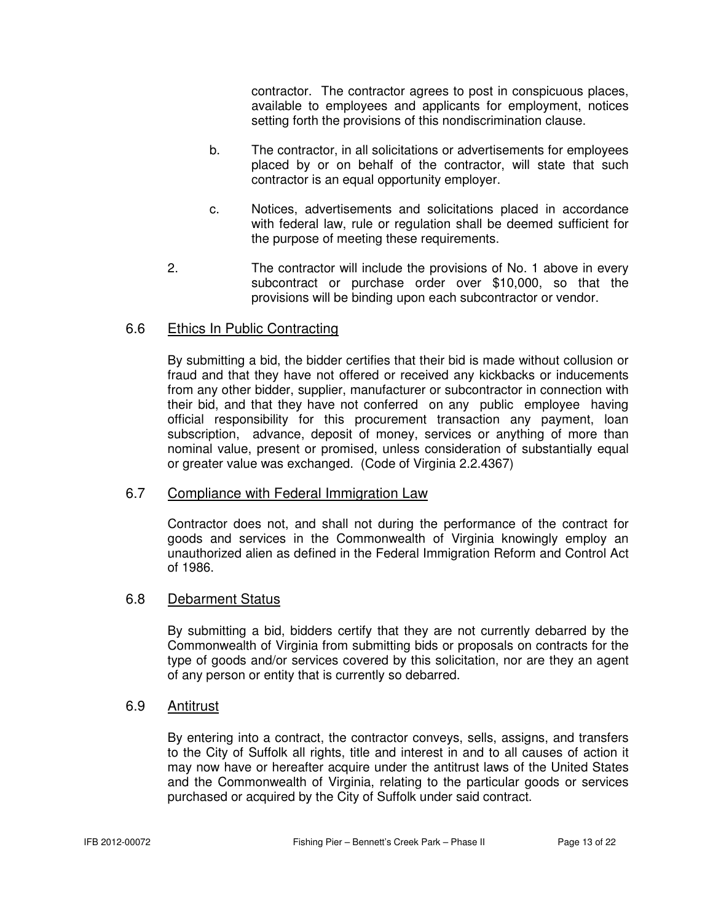contractor. The contractor agrees to post in conspicuous places, available to employees and applicants for employment, notices setting forth the provisions of this nondiscrimination clause.

- b. The contractor, in all solicitations or advertisements for employees placed by or on behalf of the contractor, will state that such contractor is an equal opportunity employer.
- c. Notices, advertisements and solicitations placed in accordance with federal law, rule or regulation shall be deemed sufficient for the purpose of meeting these requirements.
- 2. The contractor will include the provisions of No. 1 above in every subcontract or purchase order over \$10,000, so that the provisions will be binding upon each subcontractor or vendor.

### 6.6 Ethics In Public Contracting

By submitting a bid, the bidder certifies that their bid is made without collusion or fraud and that they have not offered or received any kickbacks or inducements from any other bidder, supplier, manufacturer or subcontractor in connection with their bid, and that they have not conferred on any public employee having official responsibility for this procurement transaction any payment, loan subscription, advance, deposit of money, services or anything of more than nominal value, present or promised, unless consideration of substantially equal or greater value was exchanged. (Code of Virginia 2.2.4367)

### 6.7 Compliance with Federal Immigration Law

Contractor does not, and shall not during the performance of the contract for goods and services in the Commonwealth of Virginia knowingly employ an unauthorized alien as defined in the Federal Immigration Reform and Control Act of 1986.

#### 6.8 Debarment Status

By submitting a bid, bidders certify that they are not currently debarred by the Commonwealth of Virginia from submitting bids or proposals on contracts for the type of goods and/or services covered by this solicitation, nor are they an agent of any person or entity that is currently so debarred.

#### 6.9 Antitrust

By entering into a contract, the contractor conveys, sells, assigns, and transfers to the City of Suffolk all rights, title and interest in and to all causes of action it may now have or hereafter acquire under the antitrust laws of the United States and the Commonwealth of Virginia, relating to the particular goods or services purchased or acquired by the City of Suffolk under said contract.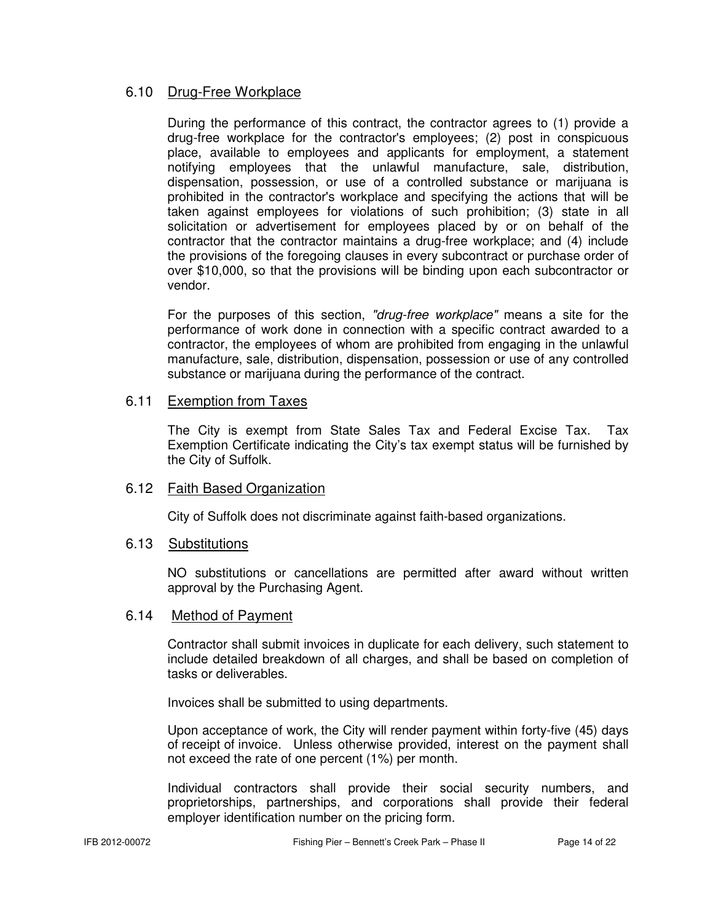# 6.10 Drug-Free Workplace

During the performance of this contract, the contractor agrees to (1) provide a drug-free workplace for the contractor's employees; (2) post in conspicuous place, available to employees and applicants for employment, a statement notifying employees that the unlawful manufacture, sale, distribution, dispensation, possession, or use of a controlled substance or marijuana is prohibited in the contractor's workplace and specifying the actions that will be taken against employees for violations of such prohibition; (3) state in all solicitation or advertisement for employees placed by or on behalf of the contractor that the contractor maintains a drug-free workplace; and (4) include the provisions of the foregoing clauses in every subcontract or purchase order of over \$10,000, so that the provisions will be binding upon each subcontractor or vendor.

For the purposes of this section, "drug-free workplace" means a site for the performance of work done in connection with a specific contract awarded to a contractor, the employees of whom are prohibited from engaging in the unlawful manufacture, sale, distribution, dispensation, possession or use of any controlled substance or marijuana during the performance of the contract.

### 6.11 Exemption from Taxes

The City is exempt from State Sales Tax and Federal Excise Tax. Tax Exemption Certificate indicating the City's tax exempt status will be furnished by the City of Suffolk.

### 6.12 Faith Based Organization

City of Suffolk does not discriminate against faith-based organizations.

#### 6.13 Substitutions

NO substitutions or cancellations are permitted after award without written approval by the Purchasing Agent.

#### 6.14 Method of Payment

Contractor shall submit invoices in duplicate for each delivery, such statement to include detailed breakdown of all charges, and shall be based on completion of tasks or deliverables.

Invoices shall be submitted to using departments.

 Upon acceptance of work, the City will render payment within forty-five (45) days of receipt of invoice. Unless otherwise provided, interest on the payment shall not exceed the rate of one percent (1%) per month.

Individual contractors shall provide their social security numbers, and proprietorships, partnerships, and corporations shall provide their federal employer identification number on the pricing form.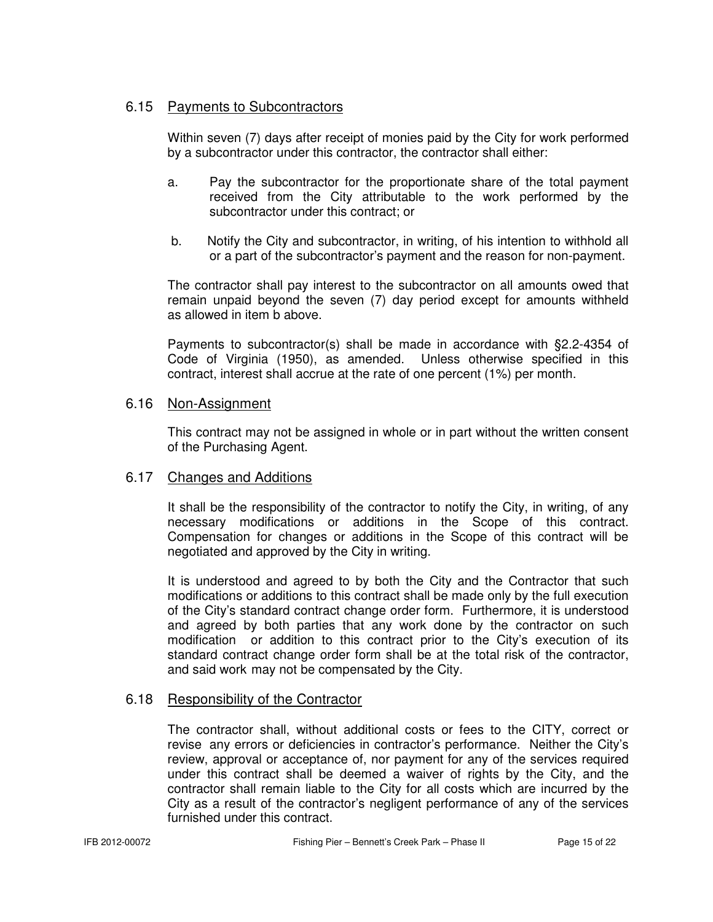# 6.15 Payments to Subcontractors

Within seven (7) days after receipt of monies paid by the City for work performed by a subcontractor under this contractor, the contractor shall either:

- a. Pay the subcontractor for the proportionate share of the total payment received from the City attributable to the work performed by the subcontractor under this contract; or
- b. Notify the City and subcontractor, in writing, of his intention to withhold all or a part of the subcontractor's payment and the reason for non-payment.

The contractor shall pay interest to the subcontractor on all amounts owed that remain unpaid beyond the seven (7) day period except for amounts withheld as allowed in item b above.

Payments to subcontractor(s) shall be made in accordance with §2.2-4354 of Code of Virginia (1950), as amended. Unless otherwise specified in this contract, interest shall accrue at the rate of one percent (1%) per month.

#### 6.16 Non-Assignment

This contract may not be assigned in whole or in part without the written consent of the Purchasing Agent.

### 6.17 Changes and Additions

 It shall be the responsibility of the contractor to notify the City, in writing, of any necessary modifications or additions in the Scope of this contract. Compensation for changes or additions in the Scope of this contract will be negotiated and approved by the City in writing.

 It is understood and agreed to by both the City and the Contractor that such modifications or additions to this contract shall be made only by the full execution of the City's standard contract change order form. Furthermore, it is understood and agreed by both parties that any work done by the contractor on such modification or addition to this contract prior to the City's execution of its standard contract change order form shall be at the total risk of the contractor, and said work may not be compensated by the City.

### 6.18 Responsibility of the Contractor

 The contractor shall, without additional costs or fees to the CITY, correct or revise any errors or deficiencies in contractor's performance. Neither the City's review, approval or acceptance of, nor payment for any of the services required under this contract shall be deemed a waiver of rights by the City, and the contractor shall remain liable to the City for all costs which are incurred by the City as a result of the contractor's negligent performance of any of the services furnished under this contract.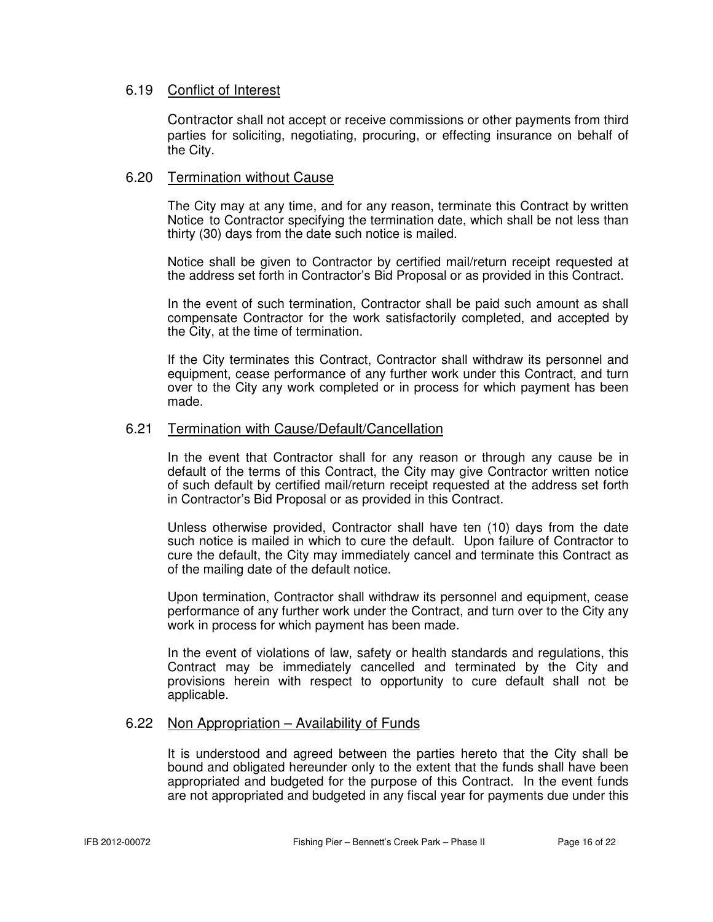#### 6.19 Conflict of Interest

 Contractor shall not accept or receive commissions or other payments from third parties for soliciting, negotiating, procuring, or effecting insurance on behalf of the City.

#### 6.20 Termination without Cause

 The City may at any time, and for any reason, terminate this Contract by written Notice to Contractor specifying the termination date, which shall be not less than thirty (30) days from the date such notice is mailed.

 Notice shall be given to Contractor by certified mail/return receipt requested at the address set forth in Contractor's Bid Proposal or as provided in this Contract.

 In the event of such termination, Contractor shall be paid such amount as shall compensate Contractor for the work satisfactorily completed, and accepted by the City, at the time of termination.

 If the City terminates this Contract, Contractor shall withdraw its personnel and equipment, cease performance of any further work under this Contract, and turn over to the City any work completed or in process for which payment has been made.

#### 6.21 Termination with Cause/Default/Cancellation

 In the event that Contractor shall for any reason or through any cause be in default of the terms of this Contract, the City may give Contractor written notice of such default by certified mail/return receipt requested at the address set forth in Contractor's Bid Proposal or as provided in this Contract.

 Unless otherwise provided, Contractor shall have ten (10) days from the date such notice is mailed in which to cure the default. Upon failure of Contractor to cure the default, the City may immediately cancel and terminate this Contract as of the mailing date of the default notice.

 Upon termination, Contractor shall withdraw its personnel and equipment, cease performance of any further work under the Contract, and turn over to the City any work in process for which payment has been made.

 In the event of violations of law, safety or health standards and regulations, this Contract may be immediately cancelled and terminated by the City and provisions herein with respect to opportunity to cure default shall not be applicable.

### 6.22 Non Appropriation – Availability of Funds

 It is understood and agreed between the parties hereto that the City shall be bound and obligated hereunder only to the extent that the funds shall have been appropriated and budgeted for the purpose of this Contract. In the event funds are not appropriated and budgeted in any fiscal year for payments due under this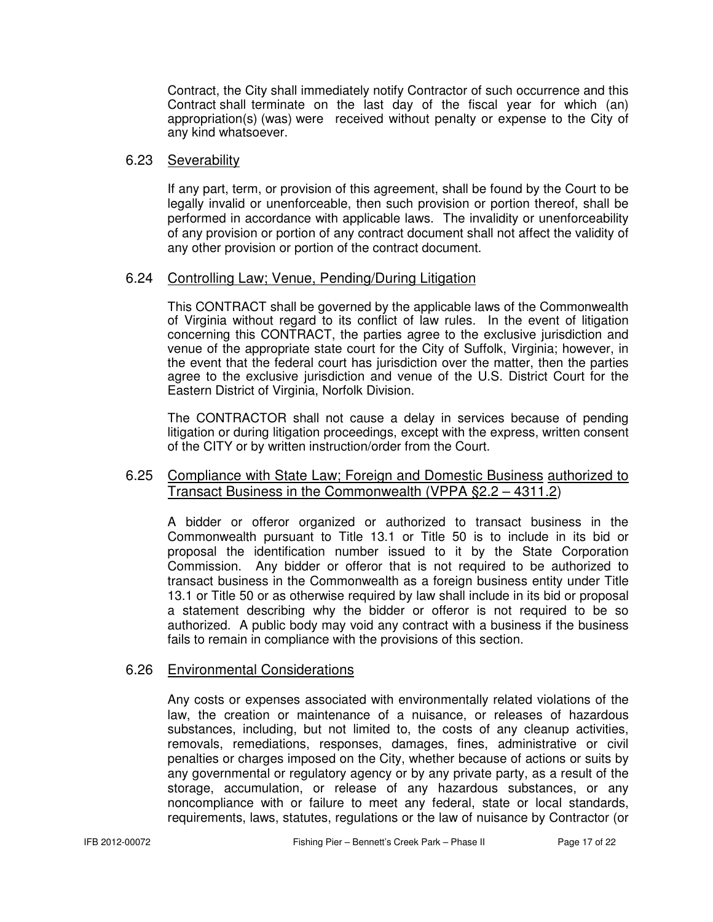Contract, the City shall immediately notify Contractor of such occurrence and this Contract shall terminate on the last day of the fiscal year for which (an) appropriation(s) (was) were received without penalty or expense to the City of any kind whatsoever.

#### 6.23 Severability

If any part, term, or provision of this agreement, shall be found by the Court to be legally invalid or unenforceable, then such provision or portion thereof, shall be performed in accordance with applicable laws. The invalidity or unenforceability of any provision or portion of any contract document shall not affect the validity of any other provision or portion of the contract document.

#### 6.24 Controlling Law; Venue, Pending/During Litigation

 This CONTRACT shall be governed by the applicable laws of the Commonwealth of Virginia without regard to its conflict of law rules. In the event of litigation concerning this CONTRACT, the parties agree to the exclusive jurisdiction and venue of the appropriate state court for the City of Suffolk, Virginia; however, in the event that the federal court has jurisdiction over the matter, then the parties agree to the exclusive jurisdiction and venue of the U.S. District Court for the Eastern District of Virginia, Norfolk Division.

 The CONTRACTOR shall not cause a delay in services because of pending litigation or during litigation proceedings, except with the express, written consent of the CITY or by written instruction/order from the Court.

# 6.25 Compliance with State Law; Foreign and Domestic Business authorized to Transact Business in the Commonwealth (VPPA §2.2 – 4311.2)

 A bidder or offeror organized or authorized to transact business in the Commonwealth pursuant to Title 13.1 or Title 50 is to include in its bid or proposal the identification number issued to it by the State Corporation Commission. Any bidder or offeror that is not required to be authorized to transact business in the Commonwealth as a foreign business entity under Title 13.1 or Title 50 or as otherwise required by law shall include in its bid or proposal a statement describing why the bidder or offeror is not required to be so authorized. A public body may void any contract with a business if the business fails to remain in compliance with the provisions of this section.

### 6.26 Environmental Considerations

 Any costs or expenses associated with environmentally related violations of the law, the creation or maintenance of a nuisance, or releases of hazardous substances, including, but not limited to, the costs of any cleanup activities, removals, remediations, responses, damages, fines, administrative or civil penalties or charges imposed on the City, whether because of actions or suits by any governmental or regulatory agency or by any private party, as a result of the storage, accumulation, or release of any hazardous substances, or any noncompliance with or failure to meet any federal, state or local standards, requirements, laws, statutes, regulations or the law of nuisance by Contractor (or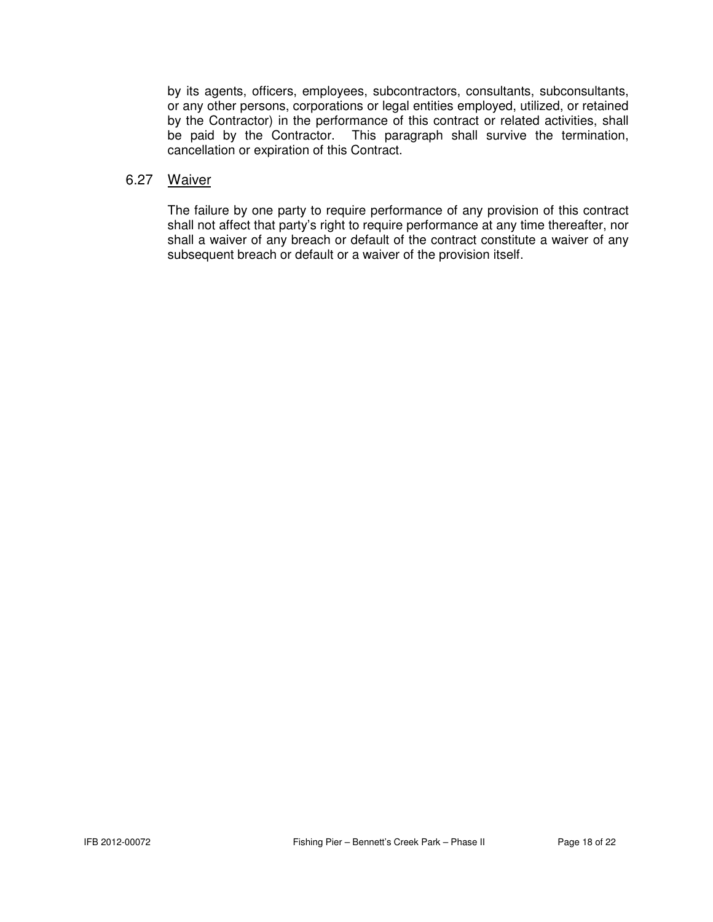by its agents, officers, employees, subcontractors, consultants, subconsultants, or any other persons, corporations or legal entities employed, utilized, or retained by the Contractor) in the performance of this contract or related activities, shall be paid by the Contractor. This paragraph shall survive the termination, cancellation or expiration of this Contract.

#### 6.27 Waiver

 The failure by one party to require performance of any provision of this contract shall not affect that party's right to require performance at any time thereafter, nor shall a waiver of any breach or default of the contract constitute a waiver of any subsequent breach or default or a waiver of the provision itself.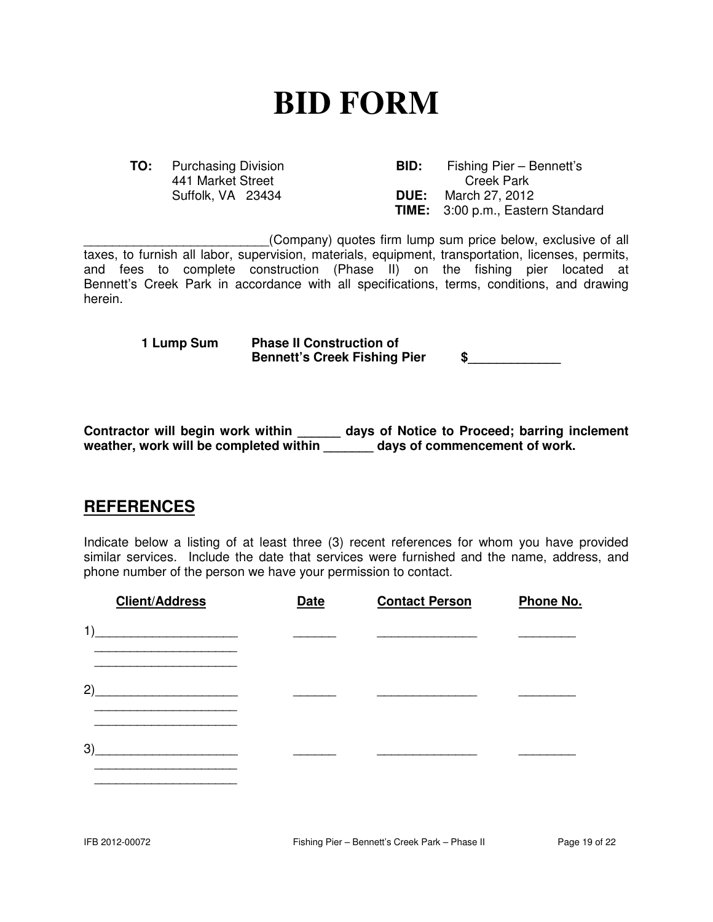# **BID FORM**

| <b>TO:</b> Purchasing Division | Fishing Pier - Bennett's<br>BID:         |
|--------------------------------|------------------------------------------|
| 441 Market Street              | <b>Creek Park</b>                        |
| Suffolk, VA 23434              | March 27, 2012<br><b>DUE:</b>            |
|                                | <b>TIME:</b> 3:00 p.m., Eastern Standard |

\_\_\_\_\_\_\_\_\_\_\_\_\_\_\_\_\_\_\_\_\_\_\_\_\_\_(Company) quotes firm lump sum price below, exclusive of all taxes, to furnish all labor, supervision, materials, equipment, transportation, licenses, permits, and fees to complete construction (Phase II) on the fishing pier located at Bennett's Creek Park in accordance with all specifications, terms, conditions, and drawing herein.

| 1 Lump Sum | <b>Phase II Construction of</b>     |  |
|------------|-------------------------------------|--|
|            | <b>Bennett's Creek Fishing Pier</b> |  |

**Contractor will begin work within \_\_\_\_\_\_ days of Notice to Proceed; barring inclement weather, work will be completed within \_\_\_\_\_\_\_ days of commencement of work.** 

# **REFERENCES**

Indicate below a listing of at least three (3) recent references for whom you have provided similar services. Include the date that services were furnished and the name, address, and phone number of the person we have your permission to contact.

| <b>Client/Address</b>                                                                           | <b>Date</b> | <b>Contact Person</b> | Phone No. |
|-------------------------------------------------------------------------------------------------|-------------|-----------------------|-----------|
| 1)<br>the control of the control of the control of the control of the control of the control of |             |                       |           |
| 2)                                                                                              |             |                       |           |
| 3)                                                                                              |             |                       |           |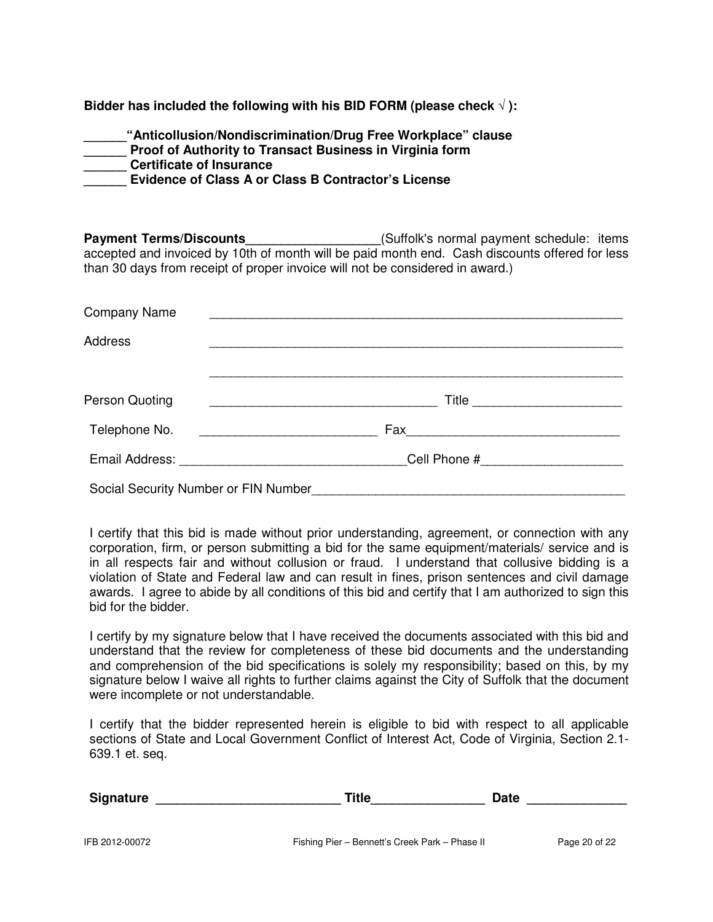**Bidder has included the following with his BID FORM (please check** √ **):** 

| "Anticollusion/Nondiscrimination/Drug Free Workplace" clause |
|--------------------------------------------------------------|
| Proof of Authority to Transact Business in Virginia form     |
| <b>Certificate of Insurance</b>                              |
| Evidence of Class A or Class B Contractor's License          |

**Payment Terms/Discounts**<br> **Payment Schedule:** items accepted and invoiced by 10th of month will be paid month end. Cash discounts offered for less than 30 days from receipt of proper invoice will not be considered in award.)

| <b>Company Name</b>                  |       |
|--------------------------------------|-------|
| <b>Address</b>                       |       |
|                                      |       |
| Person Quoting                       | Title |
| Telephone No.                        |       |
|                                      |       |
| Social Security Number or FIN Number |       |

 I certify that this bid is made without prior understanding, agreement, or connection with any corporation, firm, or person submitting a bid for the same equipment/materials/ service and is in all respects fair and without collusion or fraud. I understand that collusive bidding is a violation of State and Federal law and can result in fines, prison sentences and civil damage awards. I agree to abide by all conditions of this bid and certify that I am authorized to sign this bid for the bidder.

 I certify by my signature below that I have received the documents associated with this bid and understand that the review for completeness of these bid documents and the understanding and comprehension of the bid specifications is solely my responsibility; based on this, by my signature below I waive all rights to further claims against the City of Suffolk that the document were incomplete or not understandable.

 I certify that the bidder represented herein is eligible to bid with respect to all applicable sections of State and Local Government Conflict of Interest Act, Code of Virginia, Section 2.1- 639.1 et. seq.

| Signature<br>- - -<br>_ | ⊺itle | ┒_+<br>---- |  |
|-------------------------|-------|-------------|--|
|                         |       |             |  |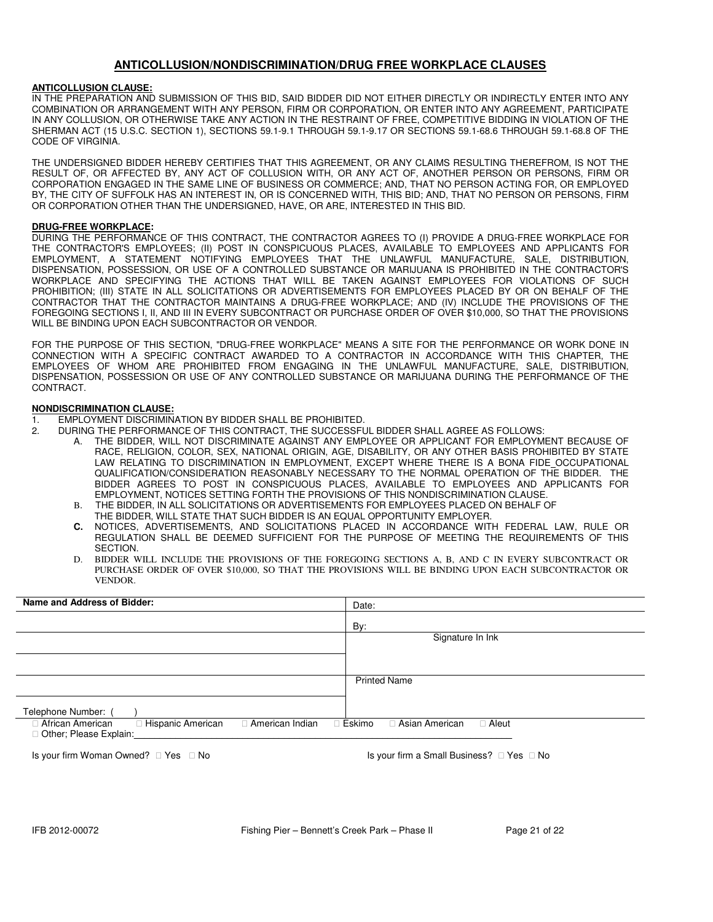#### **ANTICOLLUSION/NONDISCRIMINATION/DRUG FREE WORKPLACE CLAUSES**

#### **ANTICOLLUSION CLAUSE:**

IN THE PREPARATION AND SUBMISSION OF THIS BID, SAID BIDDER DID NOT EITHER DIRECTLY OR INDIRECTLY ENTER INTO ANY COMBINATION OR ARRANGEMENT WITH ANY PERSON, FIRM OR CORPORATION, OR ENTER INTO ANY AGREEMENT, PARTICIPATE IN ANY COLLUSION, OR OTHERWISE TAKE ANY ACTION IN THE RESTRAINT OF FREE, COMPETITIVE BIDDING IN VIOLATION OF THE SHERMAN ACT (15 U.S.C. SECTION 1), SECTIONS 59.1-9.1 THROUGH 59.1-9.17 OR SECTIONS 59.1-68.6 THROUGH 59.1-68.8 OF THE CODE OF VIRGINIA.

THE UNDERSIGNED BIDDER HEREBY CERTIFIES THAT THIS AGREEMENT, OR ANY CLAIMS RESULTING THEREFROM, IS NOT THE RESULT OF, OR AFFECTED BY, ANY ACT OF COLLUSION WITH, OR ANY ACT OF, ANOTHER PERSON OR PERSONS, FIRM OR CORPORATION ENGAGED IN THE SAME LINE OF BUSINESS OR COMMERCE; AND, THAT NO PERSON ACTING FOR, OR EMPLOYED BY, THE CITY OF SUFFOLK HAS AN INTEREST IN, OR IS CONCERNED WITH, THIS BID; AND, THAT NO PERSON OR PERSONS, FIRM OR CORPORATION OTHER THAN THE UNDERSIGNED, HAVE, OR ARE, INTERESTED IN THIS BID.

#### **DRUG-FREE WORKPLACE:**

DURING THE PERFORMANCE OF THIS CONTRACT, THE CONTRACTOR AGREES TO (I) PROVIDE A DRUG-FREE WORKPLACE FOR THE CONTRACTOR'S EMPLOYEES; (II) POST IN CONSPICUOUS PLACES, AVAILABLE TO EMPLOYEES AND APPLICANTS FOR EMPLOYMENT, A STATEMENT NOTIFYING EMPLOYEES THAT THE UNLAWFUL MANUFACTURE, SALE, DISTRIBUTION, DISPENSATION, POSSESSION, OR USE OF A CONTROLLED SUBSTANCE OR MARIJUANA IS PROHIBITED IN THE CONTRACTOR'S WORKPLACE AND SPECIFYING THE ACTIONS THAT WILL BE TAKEN AGAINST EMPLOYEES FOR VIOLATIONS OF SUCH PROHIBITION; (III) STATE IN ALL SOLICITATIONS OR ADVERTISEMENTS FOR EMPLOYEES PLACED BY OR ON BEHALF OF THE CONTRACTOR THAT THE CONTRACTOR MAINTAINS A DRUG-FREE WORKPLACE; AND (IV) INCLUDE THE PROVISIONS OF THE FOREGOING SECTIONS I, II, AND III IN EVERY SUBCONTRACT OR PURCHASE ORDER OF OVER \$10,000, SO THAT THE PROVISIONS WILL BE BINDING UPON EACH SUBCONTRACTOR OR VENDOR.

FOR THE PURPOSE OF THIS SECTION, "DRUG-FREE WORKPLACE" MEANS A SITE FOR THE PERFORMANCE OR WORK DONE IN CONNECTION WITH A SPECIFIC CONTRACT AWARDED TO A CONTRACTOR IN ACCORDANCE WITH THIS CHAPTER, THE EMPLOYEES OF WHOM ARE PROHIBITED FROM ENGAGING IN THE UNLAWFUL MANUFACTURE, SALE, DISTRIBUTION, DISPENSATION, POSSESSION OR USE OF ANY CONTROLLED SUBSTANCE OR MARIJUANA DURING THE PERFORMANCE OF THE CONTRACT.

#### **NONDISCRIMINATION CLAUSE:**

- 1. EMPLOYMENT DISCRIMINATION BY BIDDER SHALL BE PROHIBITED.
	- 2. DURING THE PERFORMANCE OF THIS CONTRACT, THE SUCCESSFUL BIDDER SHALL AGREE AS FOLLOWS:
		- A. THE BIDDER, WILL NOT DISCRIMINATE AGAINST ANY EMPLOYEE OR APPLICANT FOR EMPLOYMENT BECAUSE OF RACE, RELIGION, COLOR, SEX, NATIONAL ORIGIN, AGE, DISABILITY, OR ANY OTHER BASIS PROHIBITED BY STATE LAW RELATING TO DISCRIMINATION IN EMPLOYMENT, EXCEPT WHERE THERE IS A BONA FIDE\_OCCUPATIONAL QUALIFICATION/CONSIDERATION REASONABLY NECESSARY TO THE NORMAL OPERATION OF THE BIDDER. THE BIDDER AGREES TO POST IN CONSPICUOUS PLACES, AVAILABLE TO EMPLOYEES AND APPLICANTS FOR EMPLOYMENT, NOTICES SETTING FORTH THE PROVISIONS OF THIS NONDISCRIMINATION CLAUSE.
		- B. THE BIDDER, IN ALL SOLICITATIONS OR ADVERTISEMENTS FOR EMPLOYEES PLACED ON BEHALF OF THE BIDDER, WILL STATE THAT SUCH BIDDER IS AN EQUAL OPPORTUNITY EMPLOYER.
		- **C.** NOTICES, ADVERTISEMENTS, AND SOLICITATIONS PLACED IN ACCORDANCE WITH FEDERAL LAW, RULE OR REGULATION SHALL BE DEEMED SUFFICIENT FOR THE PURPOSE OF MEETING THE REQUIREMENTS OF THIS **SECTION**
		- D. BIDDER WILL INCLUDE THE PROVISIONS OF THE FOREGOING SECTIONS A, B, AND C IN EVERY SUBCONTRACT OR PURCHASE ORDER OF OVER \$10,000, SO THAT THE PROVISIONS WILL BE BINDING UPON EACH SUBCONTRACTOR OR VENDOR.

| Name and Address of Bidder:                                                        | Date:                             |
|------------------------------------------------------------------------------------|-----------------------------------|
|                                                                                    | By:                               |
|                                                                                    | Signature In Ink                  |
|                                                                                    |                                   |
|                                                                                    |                                   |
|                                                                                    | <b>Printed Name</b>               |
|                                                                                    |                                   |
| Telephone Number: (                                                                |                                   |
| Hispanic American<br>African American<br>American Indian<br>Other; Please Explain: | Eskimo<br>Asian American<br>Aleut |
|                                                                                    |                                   |